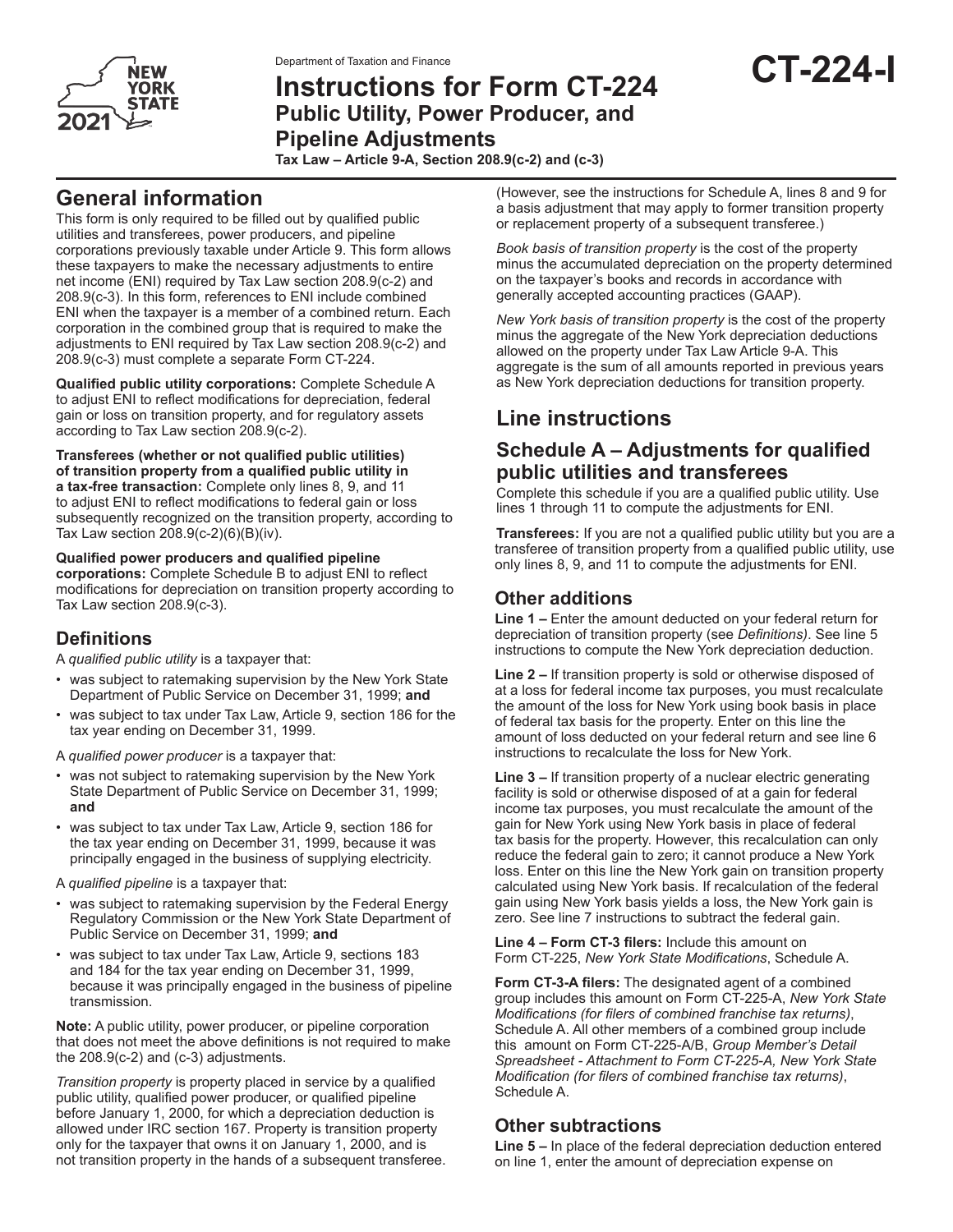

# Department of Taxation and Finance<br>Instructions for Form CT-224 **CT-224-I Public Utility, Power Producer, and Pipeline Adjustments**

**Tax Law – Article 9-A, Section 208.9(c-2) and (c-3)** 

## **General information**

This form is only required to be filled out by qualified public utilities and transferees, power producers, and pipeline corporations previously taxable under Article 9. This form allows these taxpayers to make the necessary adjustments to entire net income (ENI) required by Tax Law section 208.9(c-2) and 208.9(c-3). In this form, references to ENI include combined ENI when the taxpayer is a member of a combined return. Each corporation in the combined group that is required to make the adjustments to ENI required by Tax Law section 208.9(c-2) and 208.9(c-3) must complete a separate Form CT-224.

**Qualified public utility corporations:** Complete Schedule A to adjust ENI to reflect modifications for depreciation, federal gain or loss on transition property, and for regulatory assets according to Tax Law section 208.9(c-2).

**Transferees (whether or not qualified public utilities) of transition property from a qualified public utility in a tax-free transaction:** Complete only lines 8, 9, and 11 to adjust ENI to reflect modifications to federal gain or loss subsequently recognized on the transition property, according to Tax Law section 208.9(c-2)(6)(B)(iv).

#### **Qualified power producers and qualified pipeline corporations:** Complete Schedule B to adjust ENI to reflect modifications for depreciation on transition property according to Tax Law section 208.9(c-3).

#### **Definitions**

A *qualified public utility* is a taxpayer that:

- was subject to ratemaking supervision by the New York State Department of Public Service on December 31, 1999; **and**
- was subject to tax under Tax Law, Article 9, section 186 for the tax year ending on December 31, 1999.

A *qualified power producer* is a taxpayer that:

- was not subject to ratemaking supervision by the New York State Department of Public Service on December 31, 1999; **and**
- was subject to tax under Tax Law, Article 9, section 186 for the tax year ending on December 31, 1999, because it was principally engaged in the business of supplying electricity.
- A *qualified pipeline* is a taxpayer that:
- was subject to ratemaking supervision by the Federal Energy Regulatory Commission or the New York State Department of Public Service on December 31, 1999; **and**
- was subject to tax under Tax Law, Article 9, sections 183 and 184 for the tax year ending on December 31, 1999, because it was principally engaged in the business of pipeline transmission.

**Note:** A public utility, power producer, or pipeline corporation that does not meet the above definitions is not required to make the  $208.9(c-2)$  and  $(c-3)$  adjustments.

*Transition property* is property placed in service by a qualified public utility, qualified power producer, or qualified pipeline before January 1, 2000, for which a depreciation deduction is allowed under IRC section 167. Property is transition property only for the taxpayer that owns it on January 1, 2000, and is not transition property in the hands of a subsequent transferee. (However, see the instructions for Schedule A, lines 8 and 9 for a basis adjustment that may apply to former transition property or replacement property of a subsequent transferee.)

*Book basis of transition property* is the cost of the property minus the accumulated depreciation on the property determined on the taxpayer's books and records in accordance with generally accepted accounting practices (GAAP).

*New York basis of transition property* is the cost of the property minus the aggregate of the New York depreciation deductions allowed on the property under Tax Law Article 9-A. This aggregate is the sum of all amounts reported in previous years as New York depreciation deductions for transition property.

## **Line instructions**

### **Schedule A – Adjustments for qualified public utilities and transferees**

Complete this schedule if you are a qualified public utility. Use lines 1 through 11 to compute the adjustments for ENI.

**Transferees:** If you are not a qualified public utility but you are a transferee of transition property from a qualified public utility, use only lines 8, 9, and 11 to compute the adjustments for ENI.

### **Other additions**

**Line 1 –** Enter the amount deducted on your federal return for depreciation of transition property (see *Definitions)*. See line 5 instructions to compute the New York depreciation deduction.

**Line 2 –** If transition property is sold or otherwise disposed of at a loss for federal income tax purposes, you must recalculate the amount of the loss for New York using book basis in place of federal tax basis for the property. Enter on this line the amount of loss deducted on your federal return and see line 6 instructions to recalculate the loss for New York.

**Line 3 –** If transition property of a nuclear electric generating facility is sold or otherwise disposed of at a gain for federal income tax purposes, you must recalculate the amount of the gain for New York using New York basis in place of federal tax basis for the property. However, this recalculation can only reduce the federal gain to zero; it cannot produce a New York loss. Enter on this line the New York gain on transition property calculated using New York basis. If recalculation of the federal gain using New York basis yields a loss, the New York gain is zero. See line 7 instructions to subtract the federal gain.

**Line 4 – Form CT-3 filers:** Include this amount on Form CT-225, *New York State Modifications*, Schedule A.

**Form CT-3-A filers:** The designated agent of a combined group includes this amount on Form CT-225-A, *New York State Modifications (for filers of combined franchise tax returns)*, Schedule A. All other members of a combined group include this amount on Form CT-225-A/B, *Group Member's Detail Spreadsheet - Attachment to Form CT-225-A, New York State Modification (for filers of combined franchise tax returns)*, Schedule A.

### **Other subtractions**

**Line 5 –** In place of the federal depreciation deduction entered on line 1, enter the amount of depreciation expense on